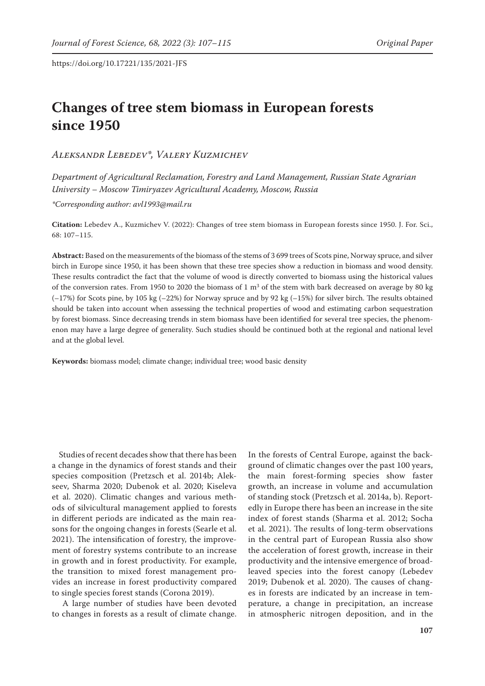# **Changes of tree stem biomass in European forests since 1950**

*Aleksandr Lebedev\*, Valery Kuzmichev*

*Department of Agricultural Reclamation, Forestry and Land Management, Russian State Agrarian University – Moscow Timiryazev Agricultural Academy, Moscow, Russia*

*\*Corresponding author: avl1993@mail.ru*

**Citation:** Lebedev A., Kuzmichev V. (2022): Changes of tree stem biomass in European forests since 1950. J. For. Sci., 68: 107–115.

**Abstract:** Based on the measurements of the biomass of the stems of 3 699 trees of Scots pine, Norway spruce, and silver birch in Europe since 1950, it has been shown that these tree species show a reduction in biomass and wood density. These results contradict the fact that the volume of wood is directly converted to biomass using the historical values of the conversion rates. From 1950 to 2020 the biomass of 1  $m<sup>3</sup>$  of the stem with bark decreased on average by 80 kg (–17%) for Scots pine, by 105 kg (–22%) for Norway spruce and by 92 kg (–15%) for silver birch. The results obtained should be taken into account when assessing the technical properties of wood and estimating carbon sequestration by forest biomass. Since decreasing trends in stem biomass have been identified for several tree species, the phenomenon may have a large degree of generality. Such studies should be continued both at the regional and national level and at the global level.

**Keywords:** biomass model; climate change; individual tree; wood basic density

Studies of recent decades show that there has been a change in the dynamics of forest stands and their species composition (Pretzsch et al. 2014b; Alekseev, Sharma 2020; Dubenok et al. 2020; Kiseleva et al. 2020). Climatic changes and various methods of silvicultural management applied to forests in different periods are indicated as the main reasons for the ongoing changes in forests (Searle et al. 2021). The intensification of forestry, the improvement of forestry systems contribute to an increase in growth and in forest productivity. For example, the transition to mixed forest management provides an increase in forest productivity compared to single species forest stands (Corona 2019).

 A large number of studies have been devoted to changes in forests as a result of climate change.

In the forests of Central Europe, against the background of climatic changes over the past 100 years, the main forest-forming species show faster growth, an increase in volume and accumulation of standing stock (Pretzsch et al. 2014a, b). Reportedly in Europe there has been an increase in the site index of forest stands (Sharma et al. 2012; Socha et al. 2021). The results of long-term observations in the central part of European Russia also show the acceleration of forest growth, increase in their productivity and the intensive emergence of broadleaved species into the forest canopy (Lebedev 2019; Dubenok et al. 2020). The causes of changes in forests are indicated by an increase in temperature, a change in precipitation, an increase in atmospheric nitrogen deposition, and in the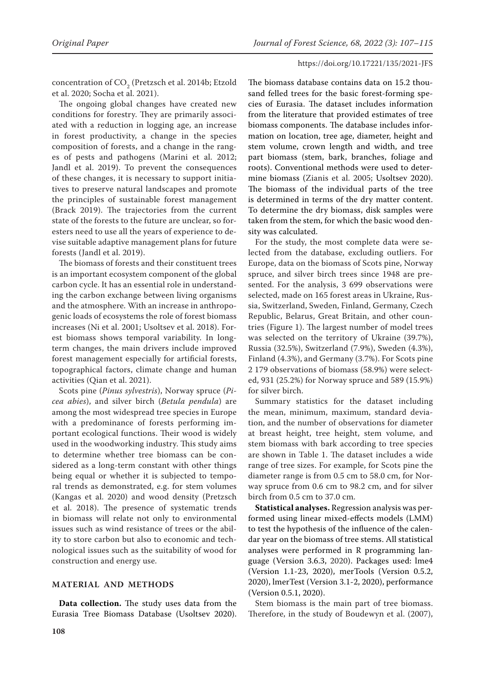concentration of  $\mathrm{CO}_2$  (Pretzsch et al. 2014b; Etzold et al. 2020; Socha et al. 2021).

The ongoing global changes have created new conditions for forestry. They are primarily associated with a reduction in logging age, an increase in forest productivity, a change in the species composition of forests, and a change in the ranges of pests and pathogens (Marini et al. 2012; Jandl et al. 2019). To prevent the consequences of these changes, it is necessary to support initiatives to preserve natural landscapes and promote the principles of sustainable forest management (Brack 2019). The trajectories from the current state of the forests to the future are unclear, so foresters need to use all the years of experience to devise suitable adaptive management plans for future forests (Jandl et al. 2019).

The biomass of forests and their constituent trees is an important ecosystem component of the global carbon cycle. It has an essential role in understanding the carbon exchange between living organisms and the atmosphere. With an increase in anthropogenic loads of ecosystems the role of forest biomass increases (Ni et al. 2001; Usoltsev et al. 2018). Forest biomass shows temporal variability. In longterm changes, the main drivers include improved forest management especially for artificial forests, topographical factors, climate change and human activities (Qian et al. 2021).

Scots pine (*Pinus sylvestris*), Norway spruce (*Picea abies*), and silver birch (*Betula pendula*) are among the most widespread tree species in Europe with a predominance of forests performing important ecological functions. Their wood is widely used in the woodworking industry. This study aims to determine whether tree biomass can be considered as a long-term constant with other things being equal or whether it is subjected to temporal trends as demonstrated, e.g. for stem volumes (Kangas et al. 2020) and wood density (Pretzsch et al. 2018). The presence of systematic trends in biomass will relate not only to environmental issues such as wind resistance of trees or the ability to store carbon but also to economic and technological issues such as the suitability of wood for construction and energy use.

# **MATERIAL AND METHODS**

**Data collection.** The study uses data from the Eurasia Tree Biomass Database (Usoltsev 2020).

The biomass database contains data on 15.2 thousand felled trees for the basic forest-forming species of Eurasia. The dataset includes information from the literature that provided estimates of tree biomass components. The database includes information on location, tree age, diameter, height and stem volume, crown length and width, and tree part biomass (stem, bark, branches, foliage and roots). Conventional methods were used to determine biomass (Zianis et al. 2005; Usoltsev 2020). The biomass of the individual parts of the tree is determined in terms of the dry matter content. To determine the dry biomass, disk samples were taken from the stem, for which the basic wood density was calculated.

For the study, the most complete data were selected from the database, excluding outliers. For Europe, data on the biomass of Scots pine, Norway spruce, and silver birch trees since 1948 are presented. For the analysis, 3 699 observations were selected, made on 165 forest areas in Ukraine, Russia, Switzerland, Sweden, Finland, Germany, Czech Republic, Belarus, Great Britain, and other countries (Figure 1). The largest number of model trees was selected on the territory of Ukraine (39.7%), Russia (32.5%), Switzerland (7.9%), Sweden (4.3%), Finland (4.3%), and Germany (3.7%). For Scots pine 2 179 observations of biomass (58.9%) were selected, 931 (25.2%) for Norway spruce and 589 (15.9%) for silver birch.

Summary statistics for the dataset including the mean, minimum, maximum, standard deviation, and the number of observations for diameter at breast height, tree height, stem volume, and stem biomass with bark according to tree species are shown in Table 1. The dataset includes a wide range of tree sizes. For example, for Scots pine the diameter range is from 0.5 cm to 58.0 cm, for Norway spruce from 0.6 cm to 98.2 cm, and for silver birch from 0.5 cm to 37.0 cm.

**Statistical analyses.** Regression analysis was performed using linear mixed-effects models (LMM) to test the hypothesis of the influence of the calendar year on the biomass of tree stems. All statistical analyses were performed in R programming language (Version 3.6.3, 2020). Packages used: lme4 (Version 1.1-23, 2020), merTools (Version 0.5.2, 2020), lmerTest (Version 3.1-2, 2020), performance (Version 0.5.1, 2020).

Stem biomass is the main part of tree biomass. Therefore, in the study of Boudewyn et al. (2007),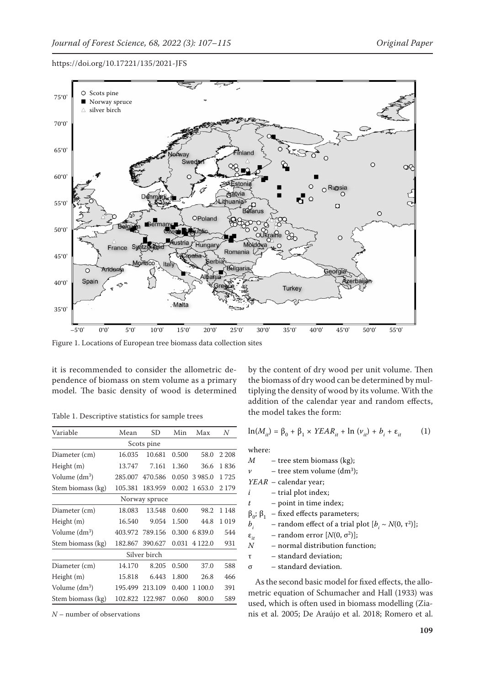

Figure 1. Locations of European tree biomass data collection sites

it is recommended to consider the allometric dependence of biomass on stem volume as a primary model. The basic density of wood is determined

| Variable                  | Mean    | SD      | Min   | Max       | N       |  |  |
|---------------------------|---------|---------|-------|-----------|---------|--|--|
|                           |         |         |       |           |         |  |  |
| Scots pine                |         |         |       |           |         |  |  |
| Diameter (cm)             | 16.035  | 10.681  | 0.500 | 58.0      | 2 2 0 8 |  |  |
| Height (m)                | 13.747  | 7.161   | 1.360 | 36.6      | 1836    |  |  |
| Volume (dm <sup>3</sup> ) | 285.007 | 470.586 | 0.050 | 3985.0    | 1725    |  |  |
| Stem biomass (kg)         | 105.381 | 183.959 | 0.002 | 1653.0    | 2 1 7 9 |  |  |
| Norway spruce             |         |         |       |           |         |  |  |
| Diameter (cm)             | 18.083  | 13.548  | 0.600 | 98.2      | 1 1 4 8 |  |  |
| Height (m)                | 16.540  | 9.054   | 1.500 | 44.8      | 1019    |  |  |
| Volume (dm <sup>3</sup> ) | 403.972 | 789.156 | 0.300 | 6839.0    | 544     |  |  |
| Stem biomass (kg)         | 182.867 | 390.627 | 0.031 | 4 1 2 2.0 | 931     |  |  |
| Silver birch              |         |         |       |           |         |  |  |
| Diameter (cm)             | 14.170  | 8.205   | 0.500 | 37.0      | 588     |  |  |
| Height (m)                | 15.818  | 6.443   | 1.800 | 26.8      | 466     |  |  |
| Volume (dm <sup>3</sup> ) | 195.499 | 213.109 | 0.400 | 1 100.0   | 391     |  |  |
| Stem biomass (kg)         | 102.822 | 122.987 | 0.060 | 800.0     | 589     |  |  |

Table 1. Descriptive statistics for sample trees

*N* – number of observations

by the content of dry wood per unit volume. Then the biomass of dry wood can be determined by multiplying the density of wood by its volume. With the addition of the calendar year and random effects, the model takes the form:

$$
\ln(M_{it}) = \beta_0 + \beta_1 \times YEAR_{it} + \ln(\nu_{it}) + b_i + \varepsilon_{it} \tag{1}
$$

where:

*M* – tree stem biomass (kg);  $\nu$  – tree stem volume (dm<sup>3</sup>); *YEAR* – calendar year;

*i* – trial plot index;

*t* – point in time index;

 $β<sub>0</sub>; β<sub>1</sub> - fixed effects parameters;  
b<sub>i</sub> - random effect of a trial p$ 

*–* random effect of a trial plot  $[b_i \sim N(0, \tau^2)]$ ;

 $\varepsilon_{it}$  – random error  $[N(0, \sigma^2)]$ ;<br> *N* – normal distribution func

- normal distribution function;

τ – standard deviation;

σ – standard deviation.

As the second basic model for fixed effects, the allometric equation of Schumacher and Hall (1933) was used, which is often used in biomass modelling (Zianis et al. 2005; De Araújo et al. 2018; Romero et al.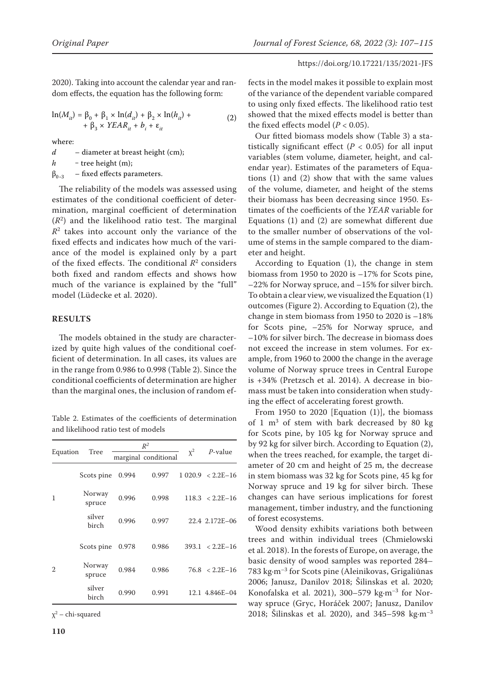2020). Taking into account the calendar year and random effects, the equation has the following form:

$$
\ln(M_{it}) = \beta_0 + \beta_1 \times \ln(d_{it}) + \beta_2 \times \ln(h_{it}) + + \beta_3 \times YEAR_{it} + b_i + \varepsilon_{it}
$$
 (2)

where:

*d* – diameter at breast height (cm);  $h$  – tree height (m);  $\beta_{0-3}$  – fixed effects parameters.

The reliability of the models was assessed using estimates of the conditional coefficient of determination, marginal coefficient of determination  $(R<sup>2</sup>)$  and the likelihood ratio test. The marginal *R*2 takes into account only the variance of the fixed effects and indicates how much of the variance of the model is explained only by a part of the fixed effects. The conditional  $R^2$  considers both fixed and random effects and shows how much of the variance is explained by the "full" model (Lüdecke et al. 2020).

# **RESULTS**

The models obtained in the study are characterized by quite high values of the conditional coefficient of determination. In all cases, its values are in the range from 0.986 to 0.998 (Table 2). Since the conditional coefficients of determination are higher than the marginal ones, the inclusion of random ef-

Table 2. Estimates of the coefficients of determination and likelihood ratio test of models

| Equation       | Tree             |       | $R^2$                |          |                       |
|----------------|------------------|-------|----------------------|----------|-----------------------|
|                |                  |       | marginal conditional | $\chi^2$ | $P$ -value            |
| 1              | Scots pine       | 0.994 | 0.997                |          | $1.020.9 < 2.2E-16$   |
|                | Norway<br>spruce | 0.996 | 0.998                |          | $118.3 \le 2.2E-16$   |
|                | silver<br>birch  | 0.996 | 0.997                |          | 22.4 2.172E-06        |
| $\overline{2}$ | Scots pine       | 0.978 | 0.986                |          | $393.1 \le 2.2E - 16$ |
|                | Norway<br>spruce | 0.984 | 0.986                |          | $76.8 \leq 2.2E - 16$ |
|                | silver<br>birch  | 0.990 | 0.991                |          | 12.1 4.846E-04        |

 $\chi^2$  – chi-squared

fects in the model makes it possible to explain most of the variance of the dependent variable compared to using only fixed effects. The likelihood ratio test showed that the mixed effects model is better than the fixed effects model  $(P < 0.05)$ .

Our fitted biomass models show (Table 3) a statistically significant effect ( $P < 0.05$ ) for all input variables (stem volume, diameter, height, and calendar year). Estimates of the parameters of Equations (1) and (2) show that with the same values of the volume, diameter, and height of the stems their biomass has been decreasing since 1950. Estimates of the coefficients of the *YEAR* variable for Equations (1) and (2) are somewhat different due to the smaller number of observations of the volume of stems in the sample compared to the diameter and height.

According to Equation (1), the change in stem biomass from 1950 to 2020 is –17% for Scots pine, –22% for Norway spruce, and –15% for silver birch. To obtain a clear view, we visualized the Equation (1) outcomes (Figure 2). According to Equation (2), the change in stem biomass from 1950 to 2020 is –18% for Scots pine, –25% for Norway spruce, and –10% for silver birch. The decrease in biomass does not exceed the increase in stem volumes. For example, from 1960 to 2000 the change in the average volume of Norway spruce trees in Central Europe is +34% (Pretzsch et al. 2014). A decrease in biomass must be taken into consideration when studying the effect of accelerating forest growth.

From 1950 to  $2020$  [Equation (1)], the biomass of  $1 \text{ m}^3$  of stem with bark decreased by 80 kg for Scots pine, by 105 kg for Norway spruce and by 92 kg for silver birch. According to Equation (2), when the trees reached, for example, the target diameter of 20 cm and height of 25 m, the decrease in stem biomass was 32 kg for Scots pine, 45 kg for Norway spruce and 19 kg for silver birch. These changes can have serious implications for forest management, timber industry, and the functioning of forest ecosystems.

Wood density exhibits variations both between trees and within individual trees (Chmielowski et al. 2018). In the forests of Europe, on average, the basic density of wood samples was reported 284– 783 kg·m–3 for Scots pine (Aleinikovas, Grigaliūnas 2006; Janusz, Danilov 2018; Šilinskas et al. 2020; Konofalska et al. 2021), 300–579 kg·m–3 for Norway spruce (Gryc, Horáček 2007; Janusz, Danilov 2018; Šilinskas et al. 2020), and 345–598 kg·m–3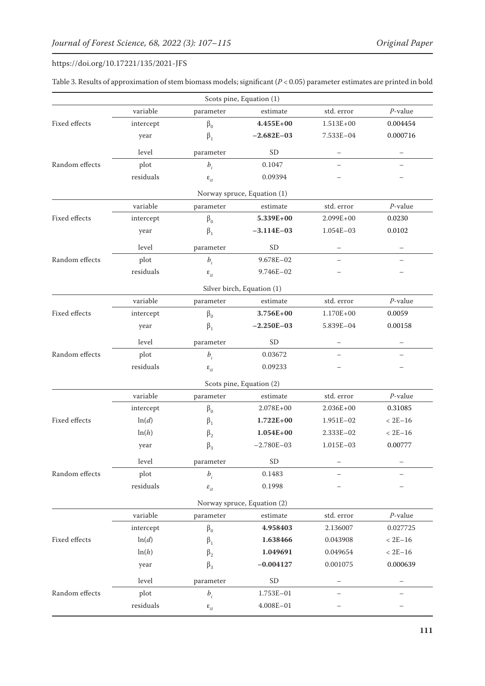|                |                 |                                 | Scots pine, Equation (1)    |                          |             |
|----------------|-----------------|---------------------------------|-----------------------------|--------------------------|-------------|
|                | variable        | parameter                       | estimate                    | std. error               | $P$ -value  |
| Fixed effects  | intercept       | $\beta_0$                       | $4.455E+00$                 | $1.513E+00$              | 0.004454    |
|                | year            | $\beta_1$                       | $-2.682E-03$                | 7.533E-04                | 0.000716    |
|                | level           | parameter                       | <b>SD</b>                   | —                        |             |
| Random effects | plot            | $b_i$                           | 0.1047                      | $\overline{\phantom{0}}$ |             |
|                | residuals       | $\boldsymbol{\varepsilon}_{it}$ | 0.09394                     |                          |             |
|                |                 |                                 | Norway spruce, Equation (1) |                          |             |
|                | variable        | parameter                       | estimate                    | std. error               | $P$ -value  |
| Fixed effects  | intercept       | $\beta_0$                       | 5.339E+00                   | $2.099E + 00$            | 0.0230      |
|                | year            | $\beta_1$                       | $-3.114E-03$                | 1.054E-03                | 0.0102      |
|                | level           | parameter                       | <b>SD</b>                   |                          |             |
| Random effects | plot            | $b_i$                           | 9.678E-02                   |                          |             |
|                | residuals       | $\boldsymbol{\varepsilon}_{it}$ | 9.746E-02                   |                          |             |
|                |                 |                                 | Silver birch, Equation (1)  |                          |             |
|                | variable        | parameter                       | estimate                    | std. error               | $P$ -value  |
| Fixed effects  | intercept       | $\beta_0$                       | 3.756E+00                   | $1.170E + 00$            | 0.0059      |
|                | year            | $\beta_1$                       | $-2.250E-03$                | 5.839E-04                | 0.00158     |
|                | level           | parameter                       | <b>SD</b>                   |                          |             |
| Random effects | plot            | $b_i$                           | 0.03672                     |                          |             |
|                | residuals       | $\boldsymbol{\varepsilon}_{it}$ | 0.09233                     |                          |             |
|                |                 |                                 | Scots pine, Equation (2)    |                          |             |
|                | variable        | parameter                       | $estimate$                  | std. error               | $P$ -value  |
|                | intercept       | $\beta_0$                       | $2.078E + 00$               | $2.036E + 00$            | 0.31085     |
| Fixed effects  | ln(d)           | $\beta_1$                       | $1.722E + 00$               | 1.951E-02                | $< 2E - 16$ |
|                | ln(h)           | $\beta_2$                       | $1.054E + 00$               | 2.333E-02                | $< 2E - 16$ |
|                | year            | $\beta_3$                       | $-2.780E - 03$              | 1.015E-03                | 0.00777     |
|                | level           | parameter                       | SD                          |                          |             |
| Random effects | plot            | $b_i$                           | 0.1483                      |                          |             |
|                | residuals       | $\varepsilon_{_{it}}$           | 0.1998                      |                          |             |
|                |                 |                                 | Norway spruce, Equation (2) |                          |             |
|                | variable        | parameter                       | estimate                    | std. error               | $P$ -value  |
|                | intercept       | $\beta_0$                       | 4.958403                    | 2.136007                 | 0.027725    |
| Fixed effects  | ln(d)           | $\beta_1$                       | 1.638466                    | 0.043908                 | $< 2E - 16$ |
|                | ln(h)           | $\beta_2$                       | 1.049691                    | 0.049654                 | $< 2E - 16$ |
|                | year            | $\beta_3$                       | $-0.004127$                 | 0.001075                 | 0.000639    |
|                | level           | parameter                       | ${\rm SD}$                  |                          |             |
| Random effects | plot            | $b_i$                           | 1.753E-01                   |                          |             |
|                | $\it residuals$ | $\boldsymbol{\varepsilon}_{it}$ | $4.008E - 01$               |                          |             |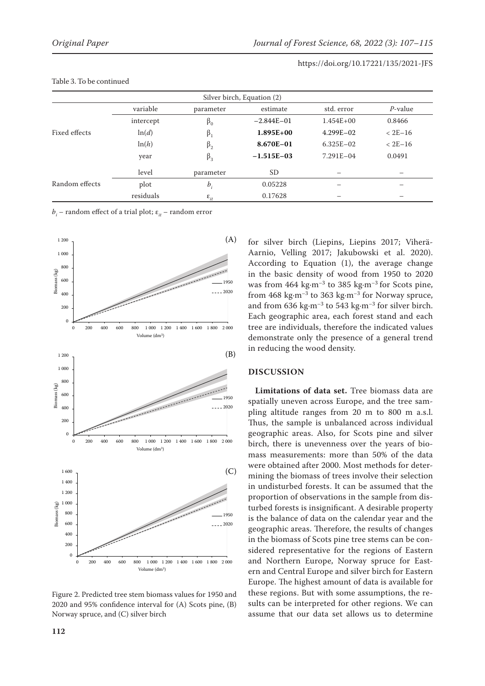| Silver birch, Equation (2) |           |                             |                |               |                          |  |
|----------------------------|-----------|-----------------------------|----------------|---------------|--------------------------|--|
|                            | variable  | parameter                   | estimate       | std. error    | $P$ -value               |  |
|                            | intercept | $\beta_0$                   | $-2.844E - 01$ | $1.454E+00$   | 0.8466                   |  |
| Fixed effects              | ln(d)     | $\beta_1$                   | $1.895E+00$    | $4.299E - 02$ | $<$ 2E-16                |  |
|                            | ln(h)     | $\beta_2$                   | 8.670E-01      | $6.325E - 02$ | $<$ 2E-16                |  |
|                            | year      | $\beta_3$                   | $-1.515E-03$   | $7.291E - 04$ | 0.0491                   |  |
|                            | level     | parameter                   | <sub>SD</sub>  | –             | $\overline{\phantom{0}}$ |  |
| Random effects             | plot      | $b_i$                       | 0.05228        |               |                          |  |
|                            | residuals | $\varepsilon$ <sub>it</sub> | 0.17628        |               |                          |  |

#### Table 3. To be continued

 $b_i$  – random effect of a trial plot;  $\varepsilon^{}_{it}$  – random error



Figure 2. Predicted tree stem biomass values for 1950 and 2020 and 95% confidence interval for (A) Scots pine, (B) Norway spruce, and (C) silver birch

for silver birch (Liepins, Liepins 2017; Viherä-Aarnio, Velling 2017; Jakubowski et al. 2020). According to Equation (1), the average change in the basic density of wood from 1950 to 2020 was from 464 kg·m<sup>-3</sup> to 385 kg·m<sup>-3</sup> for Scots pine, from  $468 \text{ kg} \cdot \text{m}^{-3}$  to  $363 \text{ kg} \cdot \text{m}^{-3}$  for Norway spruce, and from 636 kg·m<sup>-3</sup> to 543 kg·m<sup>-3</sup> for silver birch. Each geographic area, each forest stand and each tree are individuals, therefore the indicated values demonstrate only the presence of a general trend in reducing the wood density.

# **DISCUSSION**

**Limitations of data set.** Tree biomass data are spatially uneven across Europe, and the tree sampling altitude ranges from 20 m to 800 m a.s.l. Thus, the sample is unbalanced across individual geographic areas. Also, for Scots pine and silver birch, there is unevenness over the years of biomass measurements: more than 50% of the data were obtained after 2000. Most methods for determining the biomass of trees involve their selection in undisturbed forests. It can be assumed that the proportion of observations in the sample from disturbed forests is insignificant. A desirable property is the balance of data on the calendar year and the geographic areas. Therefore, the results of changes in the biomass of Scots pine tree stems can be considered representative for the regions of Eastern and Northern Europe, Norway spruce for Eastern and Central Europe and silver birch for Eastern Europe. The highest amount of data is available for these regions. But with some assumptions, the results can be interpreted for other regions. We can assume that our data set allows us to determine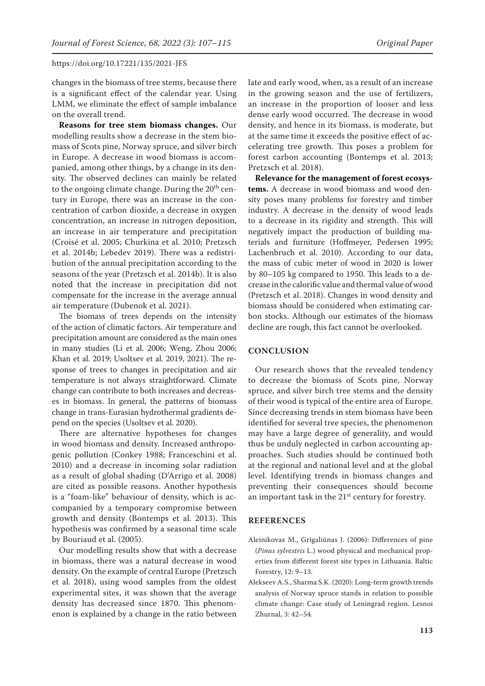changes in the biomass of tree stems, because there is a significant effect of the calendar year. Using LMM, we eliminate the effect of sample imbalance on the overall trend.

**Reasons for tree stem biomass changes.** Our modelling results show a decrease in the stem biomass of Scots pine, Norway spruce, and silver birch in Europe. A decrease in wood biomass is accompanied, among other things, by a change in its density. The observed declines can mainly be related to the ongoing climate change. During the  $20<sup>th</sup>$  century in Europe, there was an increase in the concentration of carbon dioxide, a decrease in oxygen concentration, an increase in nitrogen deposition, an increase in air temperature and precipitation (Croisé et al. 2005; Churkina et al. 2010; Pretzsch et al. 2014b; Lebedev 2019). There was a redistribution of the annual precipitation according to the seasons of the year (Pretzsch et al. 2014b). It is also noted that the increase in precipitation did not compensate for the increase in the average annual air temperature (Dubenok et al. 2021).

The biomass of trees depends on the intensity of the action of climatic factors. Air temperature and precipitation amount are considered as the main ones in many studies (Li et al. 2006; Weng, Zhou 2006; Khan et al. 2019; Usoltsev et al. 2019, 2021). The response of trees to changes in precipitation and air temperature is not always straightforward. Climate change can contribute to both increases and decreases in biomass. In general, the patterns of biomass change in trans-Eurasian hydrothermal gradients depend on the species (Usoltsev et al. 2020).

There are alternative hypotheses for changes in wood biomass and density. Increased anthropogenic pollution (Conkey 1988; Franceschini et al. 2010) and a decrease in incoming solar radiation as a result of global shading (D'Arrigo et al. 2008) are cited as possible reasons. Another hypothesis is a "foam-like" behaviour of density, which is accompanied by a temporary compromise between growth and density (Bontemps et al. 2013). This hypothesis was confirmed by a seasonal time scale by Bouriaud et al. (2005).

Our modelling results show that with a decrease in biomass, there was a natural decrease in wood density. On the example of central Europe (Pretzsch et al. 2018), using wood samples from the oldest experimental sites, it was shown that the average density has decreased since 1870. This phenomenon is explained by a change in the ratio between late and early wood, when, as a result of an increase in the growing season and the use of fertilizers, an increase in the proportion of looser and less dense early wood occurred. The decrease in wood density, and hence in its biomass, is moderate, but at the same time it exceeds the positive effect of accelerating tree growth. This poses a problem for forest carbon accounting (Bontemps et al. 2013; Pretzsch et al. 2018).

**Relevance for the management of forest ecosystems.** A decrease in wood biomass and wood density poses many problems for forestry and timber industry. A decrease in the density of wood leads to a decrease in its rigidity and strength. This will negatively impact the production of building materials and furniture (Hoffmeyer, Pedersen 1995; Lachenbruch et al. 2010). According to our data, the mass of cubic meter of wood in 2020 is lower by 80–105 kg compared to 1950. This leads to a decrease in the calorific value and thermal value of wood (Pretzsch et al. 2018). Changes in wood density and biomass should be considered when estimating carbon stocks. Although our estimates of the biomass decline are rough, this fact cannot be overlooked.

# **CONCLUSION**

Our research shows that the revealed tendency to decrease the biomass of Scots pine, Norway spruce, and silver birch tree stems and the density of their wood is typical of the entire area of Europe. Since decreasing trends in stem biomass have been identified for several tree species, the phenomenon may have a large degree of generality, and would thus be unduly neglected in carbon accounting approaches. Such studies should be continued both at the regional and national level and at the global level. Identifying trends in biomass changes and preventing their consequences should become an important task in the 21<sup>st</sup> century for forestry.

# **REFERENCES**

- Aleinikovas M., Grigaliūnas J. (2006): Differences of pine (*Pinus sylvestris* L.) wood physical and mechanical properties from different forest site types in Lithuania. Baltic Forestry, 12: 9–13.
- Alekseev A.S., Sharma S.K. (2020): Long-term growth trends analysis of Norway spruce stands in relation to possible climate change: Case study of Leningrad region. Lesnoi Zhurnal, 3: 42–54.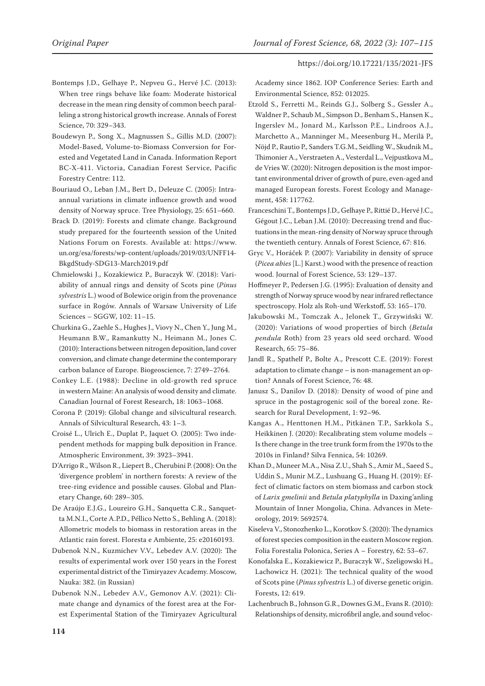- Bontemps J.D., Gelhaye P., Nepveu G., Hervé J.C. (2013): When tree rings behave like foam: Moderate historical decrease in the mean ring density of common beech paralleling a strong historical growth increase. Annals of Forest Science, 70: 329–343.
- Boudewyn P., Song X., Magnussen S., Gillis M.D. (2007): Model-Based, Volume-to-Biomass Conversion for Forested and Vegetated Land in Canada. Information Report BC-X-411. Victoria, Canadian Forest Service, Pacific Forestry Centre: 112.
- Bouriaud O., Leban J.M., Bert D., Deleuze C. (2005): Intraannual variations in climate influence growth and wood density of Norway spruce. Tree Physiology, 25: 651–660.
- Brack D. (2019): Forests and climate change. Background study prepared for the fourteenth session of the United Nations Forum on Forests. Available at: https://www. un.org/esa/forests/wp-content/uploads/2019/03/UNFF14- BkgdStudy-SDG13-March2019.pdf
- Chmielowski J., Kozakiewicz P., Buraczyk W. (2018): Variability of annual rings and density of Scots pine (*Pinus sylvestris* L.) wood of Bolewice origin from the provenance surface in Rogów. Annals of Warsaw University of Life Sciences – SGGW, 102: 11–15.
- Churkina G., Zaehle S., Hughes J., Viovy N., Chen Y., Jung M., Heumann B.W., Ramankutty N., Heimann M., Jones C. (2010): Interactions between nitrogen deposition, land cover conversion, and climate change determine the contemporary carbon balance of Europe. Biogeoscience, 7: 2749–2764.
- Conkey L.E. (1988): Decline in old-growth red spruce in western Maine: An analysis of wood density and climate. Canadian Journal of Forest Research, 18: 1063–1068.
- Corona P. (2019): Global change and silvicultural research. Annals of Silvicultural Research, 43: 1–3.
- Croisé L., Ulrich E., Duplat P., Jaquet O. (2005): Two independent methods for mapping bulk deposition in France. Atmospheric Environment, 39: 3923–3941.
- D'Arrigo R., Wilson R., Liepert B., Cherubini P. (2008): On the 'divergence problem' in northern forests: A review of the tree-ring evidence and possible causes. Global and Planetary Change, 60: 289–305.
- De Araújo E.J.G., Loureiro G.H., Sanquetta C.R., Sanquetta M.N.I., Corte A.P.D., Péllico Netto S., Behling A. (2018): Allometric models to biomass in restoration areas in the Atlantic rain forest. Floresta e Ambiente, 25: e20160193.
- Dubenok N.N., Kuzmichev V.V., Lebedev A.V. (2020): The results of experimental work over 150 years in the Forest experimental district of the Timiryazev Academy. Moscow, Nauka: 382. (in Russian)
- Dubenok N.N., Lebedev A.V., Gemonov A.V. (2021): Climate change and dynamics of the forest area at the Forest Experimental Station of the Timiryazev Agricultural

Academy since 1862. IOP Conference Series: Earth and Environmental Science, 852: 012025.

- Etzold S., Ferretti M., Reinds G.J., Solberg S., Gessler A., Waldner P., Schaub M., Simpson D., Benham S., Hansen K., Ingerslev M., Jonard M., Karlsson P.E., Lindroos A.J., Marchetto A., Manninger M., Meesenburg H., Merilä P., Nöjd P., Rautio P., Sanders T.G.M., Seidling W., Skudnik M., Thimonier A., Verstraeten A., Vesterdal L., Vejpustkova M., de Vries W. (2020): Nitrogen deposition is the most important environmental driver of growth of pure, even-aged and managed European forests. Forest Ecology and Management, 458: 117762.
- Franceschini T., Bontemps J.D., Gelhaye P., Rittié D., Hervé J.C., Gégout J.C., Leban J.M. (2010): Decreasing trend and fluctuations in the mean-ring density of Norway spruce through the twentieth century. Annals of Forest Science, 67: 816.
- Gryc V., Horáček P. (2007): Variability in density of spruce (*Picea abies* [L.] Karst.) wood with the presence of reaction wood. Journal of Forest Science, 53: 129–137.
- Hoffmeyer P., Pedersen J.G. (1995): Evaluation of density and strength of Norway spruce wood by near infrared reflectance spectroscopy. Holz als Roh-und Werkstoff, 53: 165–170.
- Jakubowski M., Tomczak A., Jelonek T., Grzywiński W. (2020): Variations of wood properties of birch (*Betula pendula* Roth) from 23 years old seed orchard. Wood Research, 65: 75–86.
- Jandl R., Spathelf P., Bolte A., Prescott C.E. (2019): Forest adaptation to climate change – is non-management an option? Annals of Forest Science, 76: 48.
- Janusz S., Danilov D. (2018): Density of wood of pine and spruce in the postagrogenic soil of the boreal zone. Research for Rural Development, 1: 92–96.
- Kangas A., Henttonen H.M., Pitkänen T.P., Sarkkola S., Heikkinen J. (2020): Recalibrating stem volume models – Is there change in the tree trunk form from the 1970s to the 2010s in Finland? Silva Fennica, 54: 10269.
- Khan D., Muneer M.A., Nisa Z.U., Shah S., Amir M., Saeed S., Uddin S., Munir M.Z., Lushuang G., Huang H. (2019): Effect of climatic factors on stem biomass and carbon stock of *Larix gmelinii* and *Betula platyphylla* in Daxing'anling Mountain of Inner Mongolia, China. Advances in Meteorology, 2019: 5692574.
- Kiseleva V., Stonozhenko L., Korotkov S. (2020): The dynamics of forest species composition in the eastern Moscow region. Folia Forestalia Polonica, Series A – Forestry, 62: 53–67.
- Konofalska E., Kozakiewicz P., Buraczyk W., Szeligowski H., Lachowicz H. (2021): The technical quality of the wood of Scots pine (*Pinus sylvestris* L.) of diverse genetic origin. Forests, 12: 619.
- Lachenbruch B., Johnson G.R., Downes G.M., Evans R. (2010): Relationships of density, microfibril angle, and sound veloc-